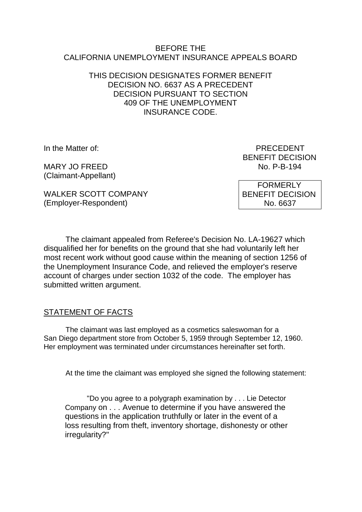#### BEFORE THE CALIFORNIA UNEMPLOYMENT INSURANCE APPEALS BOARD

### THIS DECISION DESIGNATES FORMER BENEFIT DECISION NO. 6637 AS A PRECEDENT DECISION PURSUANT TO SECTION 409 OF THE UNEMPLOYMENT INSURANCE CODE.

MARY JO FREED (Claimant-Appellant)

In the Matter of: PRECEDENT BENEFIT DECISION<br>No. P-B-194

WALKER SCOTT COMPANY (Employer-Respondent)

 FORMERLY BENEFIT DECISION No. 6637

The claimant appealed from Referee's Decision No. LA-19627 which disqualified her for benefits on the ground that she had voluntarily left her most recent work without good cause within the meaning of section 1256 of the Unemployment Insurance Code, and relieved the employer's reserve account of charges under section 1032 of the code. The employer has submitted written argument.

# STATEMENT OF FACTS

The claimant was last employed as a cosmetics saleswoman for a San Diego department store from October 5, 1959 through September 12, 1960. Her employment was terminated under circumstances hereinafter set forth.

At the time the claimant was employed she signed the following statement:

"Do you agree to a polygraph examination by . . . Lie Detector Company on . . . Avenue to determine if you have answered the questions in the application truthfully or later in the event of a loss resulting from theft, inventory shortage, dishonesty or other irregularity?"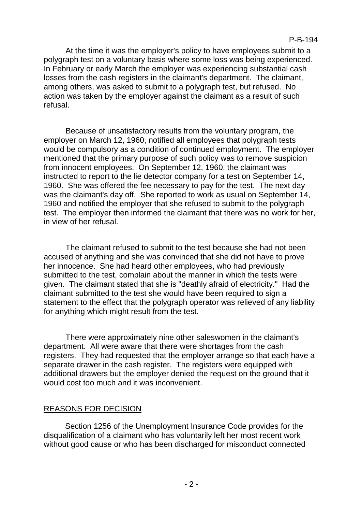At the time it was the employer's policy to have employees submit to a polygraph test on a voluntary basis where some loss was being experienced. In February or early March the employer was experiencing substantial cash losses from the cash registers in the claimant's department. The claimant, among others, was asked to submit to a polygraph test, but refused. No action was taken by the employer against the claimant as a result of such refusal.

Because of unsatisfactory results from the voluntary program, the employer on March 12, 1960, notified all employees that polygraph tests would be compulsory as a condition of continued employment. The employer mentioned that the primary purpose of such policy was to remove suspicion from innocent employees. On September 12, 1960, the claimant was instructed to report to the lie detector company for a test on September 14, 1960. She was offered the fee necessary to pay for the test. The next day was the claimant's day off. She reported to work as usual on September 14, 1960 and notified the employer that she refused to submit to the polygraph test. The employer then informed the claimant that there was no work for her, in view of her refusal.

The claimant refused to submit to the test because she had not been accused of anything and she was convinced that she did not have to prove her innocence. She had heard other employees, who had previously submitted to the test, complain about the manner in which the tests were given. The claimant stated that she is "deathly afraid of electricity." Had the claimant submitted to the test she would have been required to sign a statement to the effect that the polygraph operator was relieved of any liability for anything which might result from the test.

There were approximately nine other saleswomen in the claimant's department. All were aware that there were shortages from the cash registers. They had requested that the employer arrange so that each have a separate drawer in the cash register. The registers were equipped with additional drawers but the employer denied the request on the ground that it would cost too much and it was inconvenient.

# REASONS FOR DECISION

Section 1256 of the Unemployment Insurance Code provides for the disqualification of a claimant who has voluntarily left her most recent work without good cause or who has been discharged for misconduct connected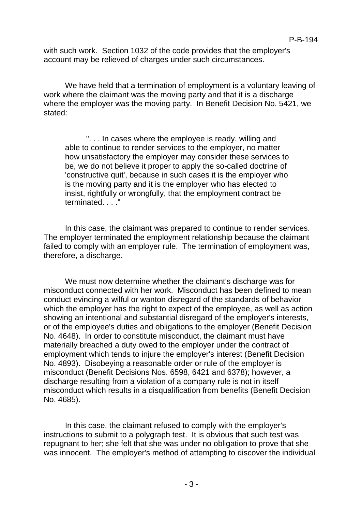with such work. Section 1032 of the code provides that the employer's account may be relieved of charges under such circumstances.

We have held that a termination of employment is a voluntary leaving of work where the claimant was the moving party and that it is a discharge where the employer was the moving party. In Benefit Decision No. 5421, we stated:

". . . In cases where the employee is ready, willing and able to continue to render services to the employer, no matter how unsatisfactory the employer may consider these services to be, we do not believe it proper to apply the so-called doctrine of 'constructive quit', because in such cases it is the employer who is the moving party and it is the employer who has elected to insist, rightfully or wrongfully, that the employment contract be terminated. . . ."

In this case, the claimant was prepared to continue to render services. The employer terminated the employment relationship because the claimant failed to comply with an employer rule. The termination of employment was, therefore, a discharge.

We must now determine whether the claimant's discharge was for misconduct connected with her work. Misconduct has been defined to mean conduct evincing a wilful or wanton disregard of the standards of behavior which the employer has the right to expect of the employee, as well as action showing an intentional and substantial disregard of the employer's interests, or of the employee's duties and obligations to the employer (Benefit Decision No. 4648). In order to constitute misconduct, the claimant must have materially breached a duty owed to the employer under the contract of employment which tends to injure the employer's interest (Benefit Decision No. 4893). Disobeying a reasonable order or rule of the employer is misconduct (Benefit Decisions Nos. 6598, 6421 and 6378); however, a discharge resulting from a violation of a company rule is not in itself misconduct which results in a disqualification from benefits (Benefit Decision No. 4685).

In this case, the claimant refused to comply with the employer's instructions to submit to a polygraph test. It is obvious that such test was repugnant to her; she felt that she was under no obligation to prove that she was innocent. The employer's method of attempting to discover the individual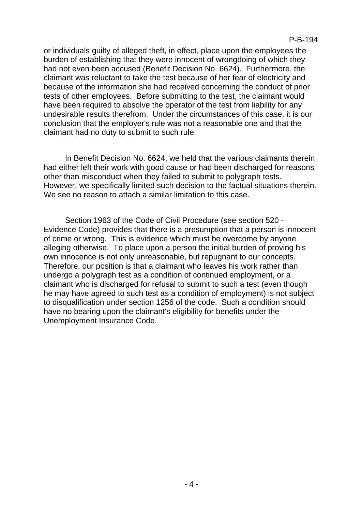or individuals guilty of alleged theft, in effect, place upon the employees the burden of establishing that they were innocent of wrongdoing of which they had not even been accused (Benefit Decision No. 6624). Furthermore, the claimant was reluctant to take the test because of her fear of electricity and because of the information she had received concerning the conduct of prior tests of other employees. Before submitting to the test, the claimant would have been required to absolve the operator of the test from liability for any undesirable results therefrom. Under the circumstances of this case, it is our conclusion that the employer's rule was not a reasonable one and that the claimant had no duty to submit to such rule.

In Benefit Decision No. 6624, we held that the various claimants therein had either left their work with good cause or had been discharged for reasons other than misconduct when they failed to submit to polygraph tests. However, we specifically limited such decision to the factual situations therein. We see no reason to attach a similar limitation to this case.

Section 1963 of the Code of Civil Procedure (see section 520 - Evidence Code) provides that there is a presumption that a person is innocent of crime or wrong. This is evidence which must be overcome by anyone alleging otherwise. To place upon a person the initial burden of proving his own innocence is not only unreasonable, but repugnant to our concepts. Therefore, our position is that a claimant who leaves his work rather than undergo a polygraph test as a condition of continued employment, or a claimant who is discharged for refusal to submit to such a test (even though he may have agreed to such test as a condition of employment) is not subject to disqualification under section 1256 of the code. Such a condition should have no bearing upon the claimant's eligibility for benefits under the Unemployment Insurance Code.